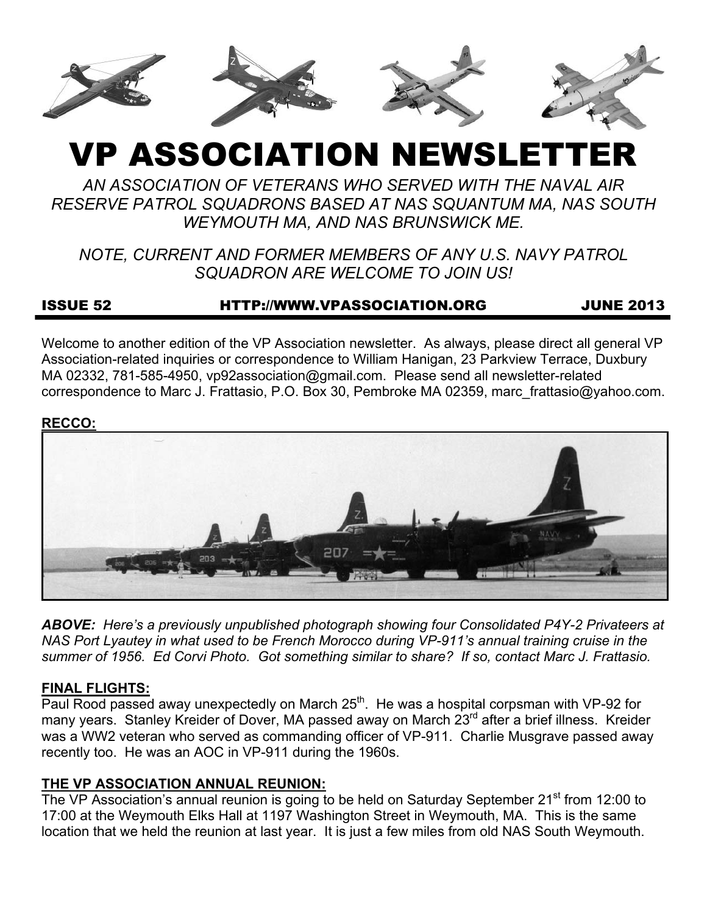

# VP ASSOCIATION NEWSLETT

*AN ASSOCIATION OF VETERANS WHO SERVED WITH THE NAVAL AIR RESERVE PATROL SQUADRONS BASED AT NAS SQUANTUM MA, NAS SOUTH WEYMOUTH MA, AND NAS BRUNSWICK ME.* 

*NOTE, CURRENT AND FORMER MEMBERS OF ANY U.S. NAVY PATROL SQUADRON ARE WELCOME TO JOIN US!* 

## ISSUE 52 HTTP://WWW.VPASSOCIATION.ORG JUNE 2013

Welcome to another edition of the VP Association newsletter. As always, please direct all general VP Association-related inquiries or correspondence to William Hanigan, 23 Parkview Terrace, Duxbury MA 02332, 781-585-4950, vp92association@gmail.com. Please send all newsletter-related correspondence to Marc J. Frattasio, P.O. Box 30, Pembroke MA 02359, marc\_frattasio@yahoo.com.

#### **RECCO:**



*ABOVE: Here's a previously unpublished photograph showing four Consolidated P4Y-2 Privateers at NAS Port Lyautey in what used to be French Morocco during VP-911's annual training cruise in the summer of 1956. Ed Corvi Photo. Got something similar to share? If so, contact Marc J. Frattasio.* 

#### **FINAL FLIGHTS:**

 $P$ aul Rood passed away unexpectedly on March 25<sup>th</sup>. He was a hospital corpsman with VP-92 for many years. Stanley Kreider of Dover, MA passed away on March 23<sup>rd</sup> after a brief illness. Kreider was a WW2 veteran who served as commanding officer of VP-911. Charlie Musgrave passed away recently too. He was an AOC in VP-911 during the 1960s.

#### **THE VP ASSOCIATION ANNUAL REUNION:**

The VP Association's annual reunion is going to be held on Saturday September 21<sup>st</sup> from 12:00 to 17:00 at the Weymouth Elks Hall at 1197 Washington Street in Weymouth, MA. This is the same location that we held the reunion at last year. It is just a few miles from old NAS South Weymouth.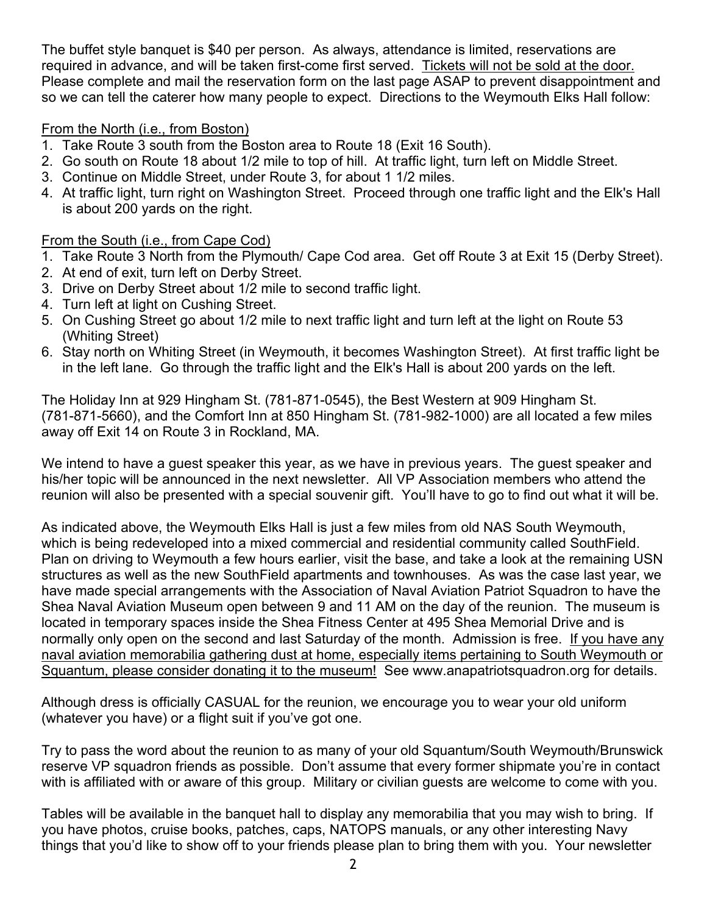The buffet style banquet is \$40 per person. As always, attendance is limited, reservations are required in advance, and will be taken first-come first served. Tickets will not be sold at the door. Please complete and mail the reservation form on the last page ASAP to prevent disappointment and so we can tell the caterer how many people to expect. Directions to the Weymouth Elks Hall follow:

#### From the North (i.e., from Boston)

- 1. Take Route 3 south from the Boston area to Route 18 (Exit 16 South).
- 2. Go south on Route 18 about 1/2 mile to top of hill. At traffic light, turn left on Middle Street.
- 3. Continue on Middle Street, under Route 3, for about 1 1/2 miles.
- 4. At traffic light, turn right on Washington Street. Proceed through one traffic light and the Elk's Hall is about 200 yards on the right.

## From the South (i.e., from Cape Cod)

- 1. Take Route 3 North from the Plymouth/ Cape Cod area. Get off Route 3 at Exit 15 (Derby Street).
- 2. At end of exit, turn left on Derby Street.
- 3. Drive on Derby Street about 1/2 mile to second traffic light.
- 4. Turn left at light on Cushing Street.
- 5. On Cushing Street go about 1/2 mile to next traffic light and turn left at the light on Route 53 (Whiting Street)
- 6. Stay north on Whiting Street (in Weymouth, it becomes Washington Street). At first traffic light be in the left lane. Go through the traffic light and the Elk's Hall is about 200 yards on the left.

The Holiday Inn at 929 Hingham St. (781-871-0545), the Best Western at 909 Hingham St. (781-871-5660), and the Comfort Inn at 850 Hingham St. (781-982-1000) are all located a few miles away off Exit 14 on Route 3 in Rockland, MA.

We intend to have a guest speaker this year, as we have in previous years. The guest speaker and his/her topic will be announced in the next newsletter. All VP Association members who attend the reunion will also be presented with a special souvenir gift. You'll have to go to find out what it will be.

As indicated above, the Weymouth Elks Hall is just a few miles from old NAS South Weymouth, which is being redeveloped into a mixed commercial and residential community called SouthField. Plan on driving to Weymouth a few hours earlier, visit the base, and take a look at the remaining USN structures as well as the new SouthField apartments and townhouses. As was the case last year, we have made special arrangements with the Association of Naval Aviation Patriot Squadron to have the Shea Naval Aviation Museum open between 9 and 11 AM on the day of the reunion. The museum is located in temporary spaces inside the Shea Fitness Center at 495 Shea Memorial Drive and is normally only open on the second and last Saturday of the month. Admission is free. If you have any naval aviation memorabilia gathering dust at home, especially items pertaining to South Weymouth or Squantum, please consider donating it to the museum! See www.anapatriotsquadron.org for details.

Although dress is officially CASUAL for the reunion, we encourage you to wear your old uniform (whatever you have) or a flight suit if you've got one.

Try to pass the word about the reunion to as many of your old Squantum/South Weymouth/Brunswick reserve VP squadron friends as possible. Don't assume that every former shipmate you're in contact with is affiliated with or aware of this group. Military or civilian guests are welcome to come with you.

Tables will be available in the banquet hall to display any memorabilia that you may wish to bring. If you have photos, cruise books, patches, caps, NATOPS manuals, or any other interesting Navy things that you'd like to show off to your friends please plan to bring them with you. Your newsletter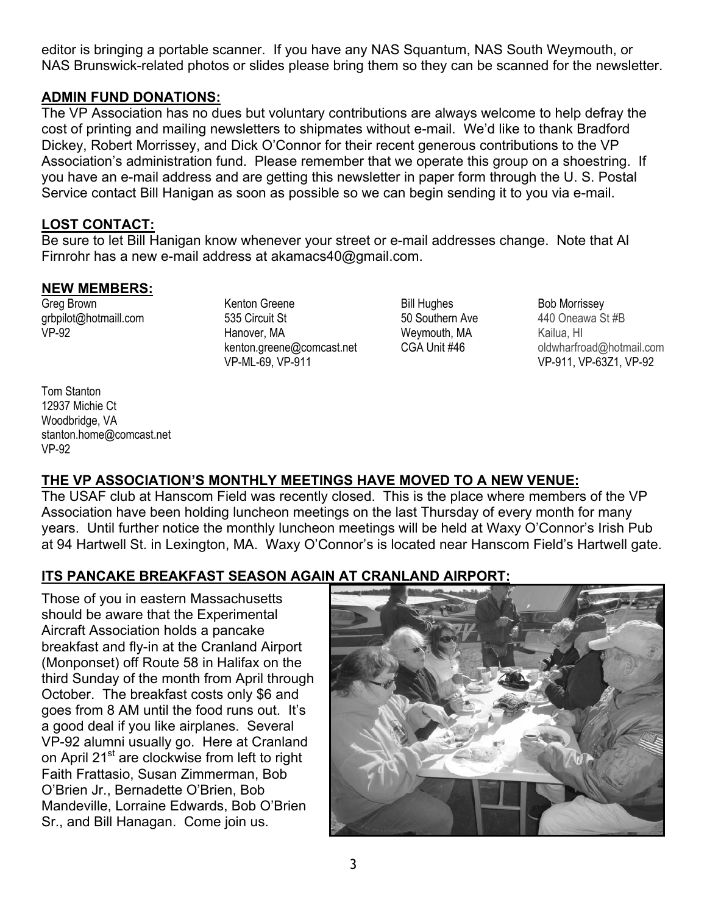editor is bringing a portable scanner. If you have any NAS Squantum, NAS South Weymouth, or NAS Brunswick-related photos or slides please bring them so they can be scanned for the newsletter.

#### **ADMIN FUND DONATIONS:**

The VP Association has no dues but voluntary contributions are always welcome to help defray the cost of printing and mailing newsletters to shipmates without e-mail. We'd like to thank Bradford Dickey, Robert Morrissey, and Dick O'Connor for their recent generous contributions to the VP Association's administration fund. Please remember that we operate this group on a shoestring. If you have an e-mail address and are getting this newsletter in paper form through the U. S. Postal Service contact Bill Hanigan as soon as possible so we can begin sending it to you via e-mail.

#### **LOST CONTACT:**

Be sure to let Bill Hanigan know whenever your street or e-mail addresses change. Note that Al Firnrohr has a new e-mail address at akamacs40@gmail.com.

#### **NEW MEMBERS:**

Greg Brown grbpilot@hotmaill.com VP-92

Kenton Greene 535 Circuit St Hanover, MA kenton.greene@comcast.net VP-ML-69, VP-911

Bill Hughes 50 Southern Ave Weymouth, MA CGA Unit #46

Bob Morrissey 440 Oneawa St #B Kailua, HI oldwharfroad@hotmail.com VP-911, VP-63Z1, VP-92

Tom Stanton 12937 Michie Ct Woodbridge, VA stanton.home@comcast.net VP-92

# **THE VP ASSOCIATION'S MONTHLY MEETINGS HAVE MOVED TO A NEW VENUE:**

The USAF club at Hanscom Field was recently closed. This is the place where members of the VP Association have been holding luncheon meetings on the last Thursday of every month for many years. Until further notice the monthly luncheon meetings will be held at Waxy O'Connor's Irish Pub at 94 Hartwell St. in Lexington, MA. Waxy O'Connor's is located near Hanscom Field's Hartwell gate.

# **ITS PANCAKE BREAKFAST SEASON AGAIN AT CRANLAND AIRPORT:**

Those of you in eastern Massachusetts should be aware that the Experimental Aircraft Association holds a pancake breakfast and fly-in at the Cranland Airport (Monponset) off Route 58 in Halifax on the third Sunday of the month from April through October. The breakfast costs only \$6 and goes from 8 AM until the food runs out. It's a good deal if you like airplanes. Several VP-92 alumni usually go. Here at Cranland on April 21<sup>st</sup> are clockwise from left to right Faith Frattasio, Susan Zimmerman, Bob O'Brien Jr., Bernadette O'Brien, Bob Mandeville, Lorraine Edwards, Bob O'Brien Sr., and Bill Hanagan. Come join us.

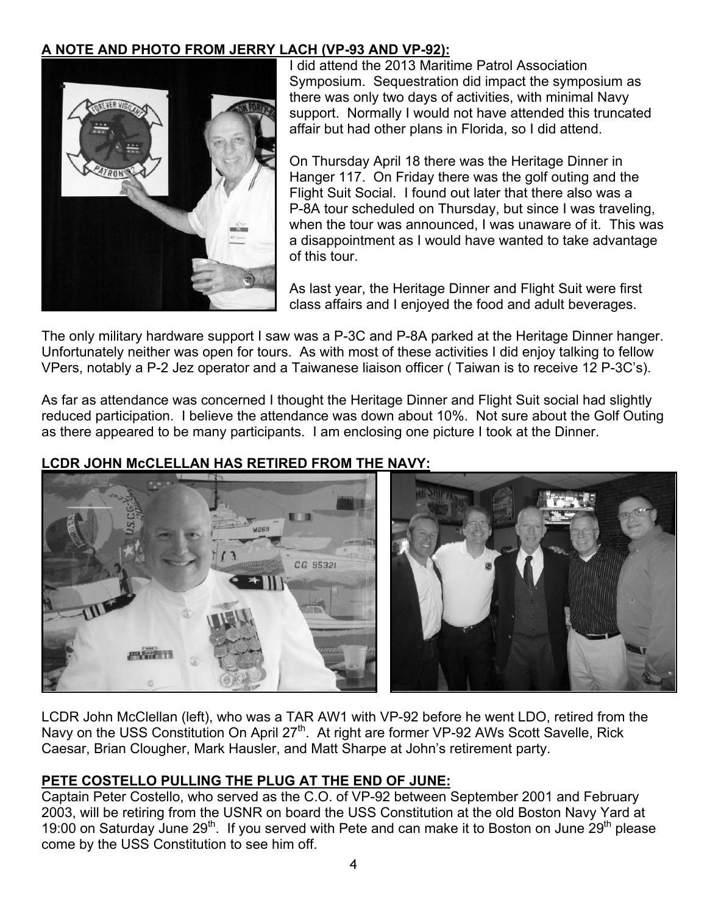## **A NOTE AND PHOTO FROM JERRY LACH (VP-93 AND VP-92):**



I did attend the 2013 Maritime Patrol Association Symposium. Sequestration did impact the symposium as there was only two days of activities, with minimal Navy support. Normally I would not have attended this truncated affair but had other plans in Florida, so I did attend.

On Thursday April 18 there was the Heritage Dinner in Hanger 117. On Friday there was the golf outing and the Flight Suit Social. I found out later that there also was a P-8A tour scheduled on Thursday, but since I was traveling, when the tour was announced, I was unaware of it. This was a disappointment as I would have wanted to take advantage of this tour.

As last year, the Heritage Dinner and Flight Suit were first class affairs and I enjoyed the food and adult beverages.

The only military hardware support I saw was a P-3C and P-8A parked at the Heritage Dinner hanger. Unfortunately neither was open for tours. As with most of these activities I did enjoy talking to fellow VPers, notably a P-2 Jez operator and a Taiwanese liaison officer ( Taiwan is to receive 12 P-3C's).

As far as attendance was concerned I thought the Heritage Dinner and Flight Suit social had slightly reduced participation. I believe the attendance was down about 10%. Not sure about the Golf Outing as there appeared to be many participants. I am enclosing one picture I took at the Dinner.



# **LCDR JOHN McCLELLAN HAS RETIRED FROM THE NAVY:**

LCDR John McClellan (left), who was a TAR AW1 with VP-92 before he went LDO, retired from the Navy on the USS Constitution On April 27<sup>th</sup>. At right are former VP-92 AWs Scott Savelle, Rick Caesar, Brian Clougher, Mark Hausler, and Matt Sharpe at John's retirement party.

#### **PETE COSTELLO PULLING THE PLUG AT THE END OF JUNE:**

Captain Peter Costello, who served as the C.O. of VP-92 between September 2001 and February 2003, will be retiring from the USNR on board the USS Constitution at the old Boston Navy Yard at 19:00 on Saturday June 29<sup>th</sup>. If you served with Pete and can make it to Boston on June 29<sup>th</sup> please come by the USS Constitution to see him off.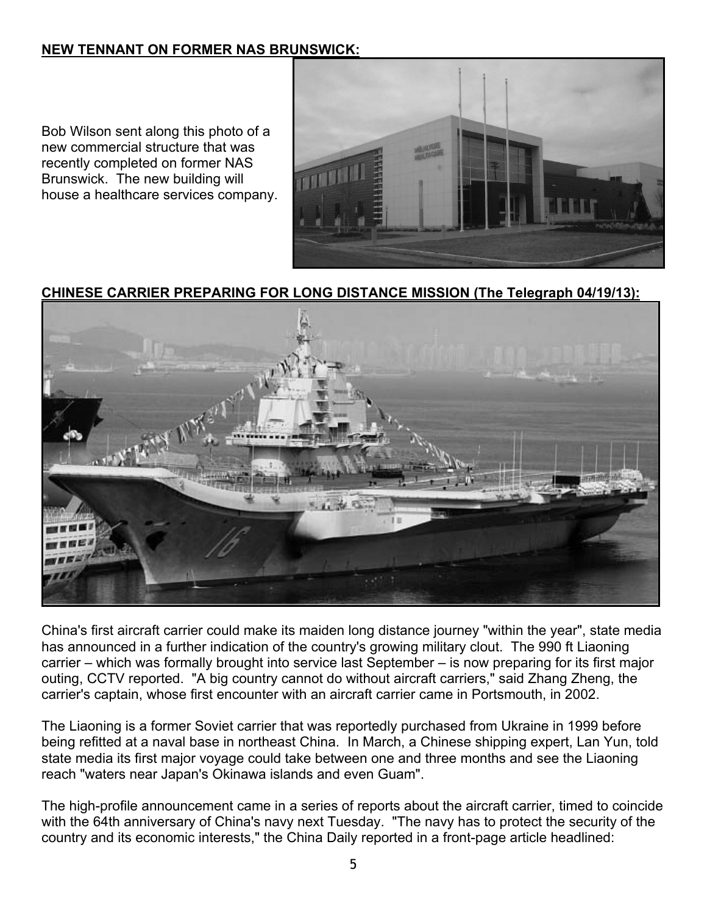## **NEW TENNANT ON FORMER NAS BRUNSWICK:**

Bob Wilson sent along this photo of a new commercial structure that was recently completed on former NAS Brunswick. The new building will house a healthcare services company.



## **CHINESE CARRIER PREPARING FOR LONG DISTANCE MISSION (The Telegraph 04/19/13):**



China's first aircraft carrier could make its maiden long distance journey "within the year", state media has announced in a further indication of the country's growing military clout. The 990 ft Liaoning carrier – which was formally brought into service last September – is now preparing for its first major outing, CCTV reported. "A big country cannot do without aircraft carriers," said Zhang Zheng, the carrier's captain, whose first encounter with an aircraft carrier came in Portsmouth, in 2002.

The Liaoning is a former Soviet carrier that was reportedly purchased from Ukraine in 1999 before being refitted at a naval base in northeast China. In March, a Chinese shipping expert, Lan Yun, told state media its first major voyage could take between one and three months and see the Liaoning reach "waters near Japan's Okinawa islands and even Guam".

The high-profile announcement came in a series of reports about the aircraft carrier, timed to coincide with the 64th anniversary of China's navy next Tuesday. "The navy has to protect the security of the country and its economic interests," the China Daily reported in a front-page article headlined: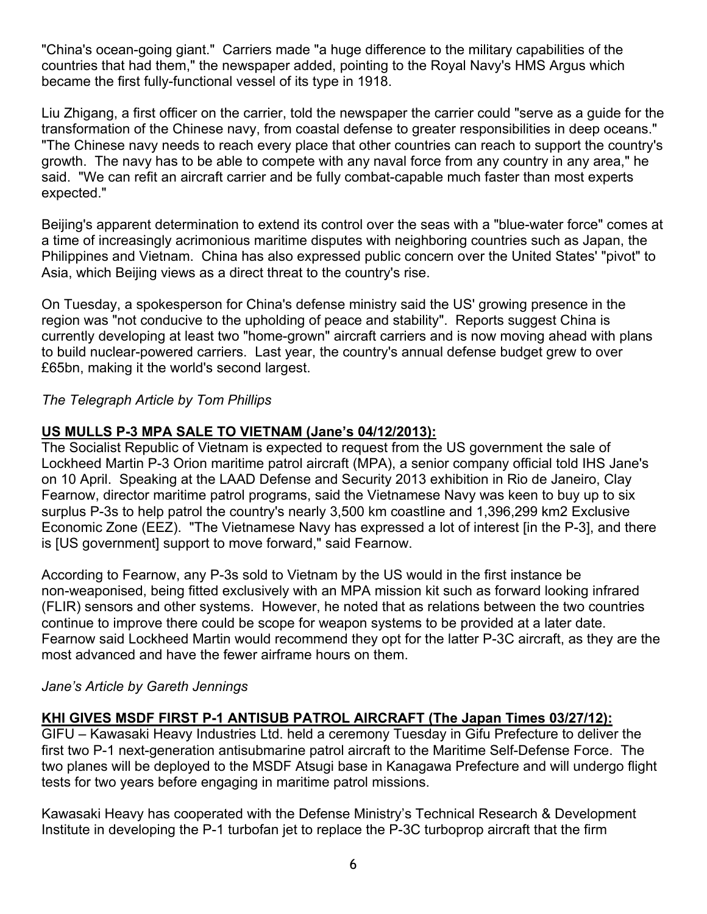"China's ocean-going giant." Carriers made "a huge difference to the military capabilities of the countries that had them," the newspaper added, pointing to the Royal Navy's HMS Argus which became the first fully-functional vessel of its type in 1918.

Liu Zhigang, a first officer on the carrier, told the newspaper the carrier could "serve as a guide for the transformation of the Chinese navy, from coastal defense to greater responsibilities in deep oceans." "The Chinese navy needs to reach every place that other countries can reach to support the country's growth. The navy has to be able to compete with any naval force from any country in any area," he said. "We can refit an aircraft carrier and be fully combat-capable much faster than most experts expected."

Beijing's apparent determination to extend its control over the seas with a "blue-water force" comes at a time of increasingly acrimonious maritime disputes with neighboring countries such as Japan, the Philippines and Vietnam. China has also expressed public concern over the United States' "pivot" to Asia, which Beijing views as a direct threat to the country's rise.

On Tuesday, a spokesperson for China's defense ministry said the US' growing presence in the region was "not conducive to the upholding of peace and stability". Reports suggest China is currently developing at least two "home-grown" aircraft carriers and is now moving ahead with plans to build nuclear-powered carriers. Last year, the country's annual defense budget grew to over £65bn, making it the world's second largest.

#### *The Telegraph Article by Tom Phillips*

#### **US MULLS P-3 MPA SALE TO VIETNAM (Jane's 04/12/2013):**

The Socialist Republic of Vietnam is expected to request from the US government the sale of Lockheed Martin P-3 Orion maritime patrol aircraft (MPA), a senior company official told IHS Jane's on 10 April. Speaking at the LAAD Defense and Security 2013 exhibition in Rio de Janeiro, Clay Fearnow, director maritime patrol programs, said the Vietnamese Navy was keen to buy up to six surplus P-3s to help patrol the country's nearly 3,500 km coastline and 1,396,299 km2 Exclusive Economic Zone (EEZ). "The Vietnamese Navy has expressed a lot of interest [in the P-3], and there is [US government] support to move forward," said Fearnow.

According to Fearnow, any P-3s sold to Vietnam by the US would in the first instance be non-weaponised, being fitted exclusively with an MPA mission kit such as forward looking infrared (FLIR) sensors and other systems. However, he noted that as relations between the two countries continue to improve there could be scope for weapon systems to be provided at a later date. Fearnow said Lockheed Martin would recommend they opt for the latter P-3C aircraft, as they are the most advanced and have the fewer airframe hours on them.

#### *Jane's Article by Gareth Jennings*

#### **KHI GIVES MSDF FIRST P-1 ANTISUB PATROL AIRCRAFT (The Japan Times 03/27/12):**

GIFU – Kawasaki Heavy Industries Ltd. held a ceremony Tuesday in Gifu Prefecture to deliver the first two P-1 next-generation antisubmarine patrol aircraft to the Maritime Self-Defense Force. The two planes will be deployed to the MSDF Atsugi base in Kanagawa Prefecture and will undergo flight tests for two years before engaging in maritime patrol missions.

Kawasaki Heavy has cooperated with the Defense Ministry's Technical Research & Development Institute in developing the P-1 turbofan jet to replace the P-3C turboprop aircraft that the firm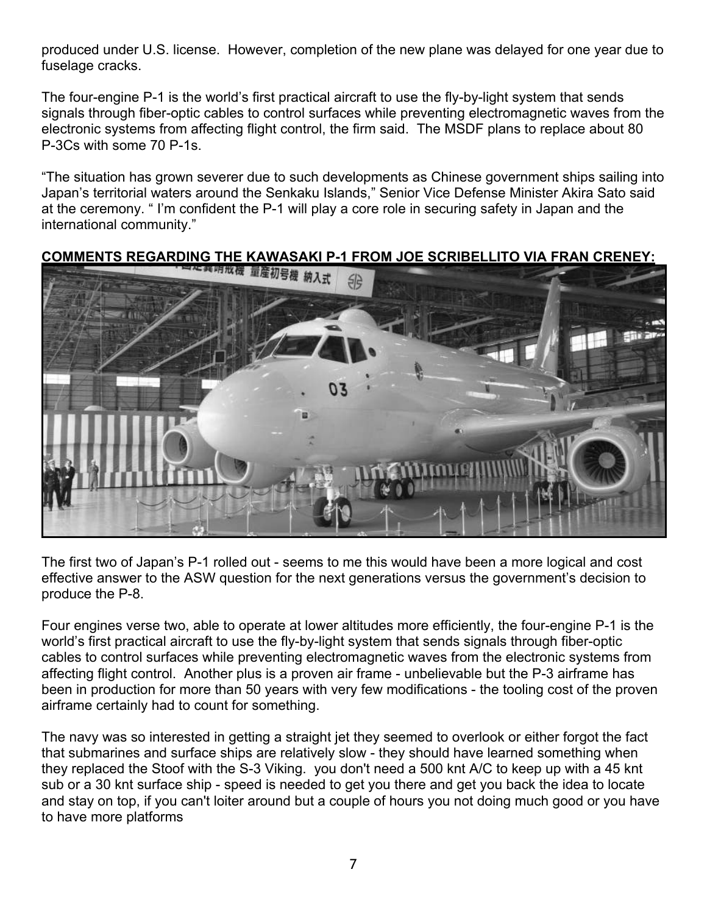produced under U.S. license. However, completion of the new plane was delayed for one year due to fuselage cracks.

The four-engine P-1 is the world's first practical aircraft to use the fly-by-light system that sends signals through fiber-optic cables to control surfaces while preventing electromagnetic waves from the electronic systems from affecting flight control, the firm said. The MSDF plans to replace about 80 P-3Cs with some 70 P-1s.

"The situation has grown severer due to such developments as Chinese government ships sailing into Japan's territorial waters around the Senkaku Islands," Senior Vice Defense Minister Akira Sato said at the ceremony. " I'm confident the P-1 will play a core role in securing safety in Japan and the international community."

# **COMMENTS REGARDING THE KAWASAKI P-1 FROM JOE SCRIBELLITO VIA FRAN CRENEY:**<br>【2000】 PECARDING THE KAWASAKI P-1 FROM JOE SCRIBELLITO VIA FRAN CRENEY:

The first two of Japan's P-1 rolled out - seems to me this would have been a more logical and cost effective answer to the ASW question for the next generations versus the government's decision to produce the P-8.

Four engines verse two, able to operate at lower altitudes more efficiently, the four-engine P-1 is the world's first practical aircraft to use the fly-by-light system that sends signals through fiber-optic cables to control surfaces while preventing electromagnetic waves from the electronic systems from affecting flight control. Another plus is a proven air frame - unbelievable but the P-3 airframe has been in production for more than 50 years with very few modifications - the tooling cost of the proven airframe certainly had to count for something.

The navy was so interested in getting a straight jet they seemed to overlook or either forgot the fact that submarines and surface ships are relatively slow - they should have learned something when they replaced the Stoof with the S-3 Viking. you don't need a 500 knt A/C to keep up with a 45 knt sub or a 30 knt surface ship - speed is needed to get you there and get you back the idea to locate and stay on top, if you can't loiter around but a couple of hours you not doing much good or you have to have more platforms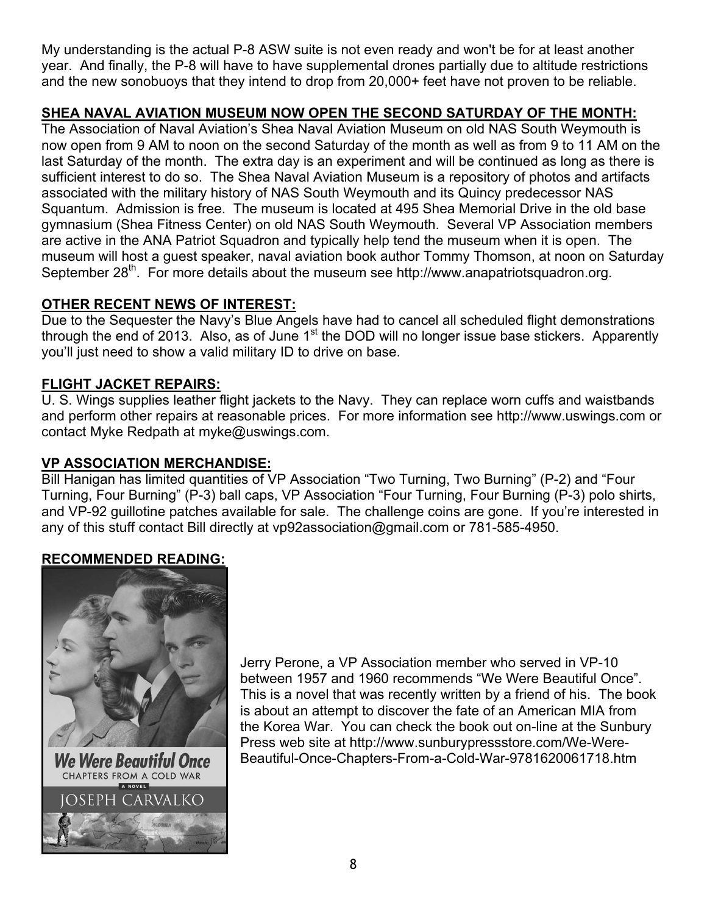My understanding is the actual P-8 ASW suite is not even ready and won't be for at least another year. And finally, the P-8 will have to have supplemental drones partially due to altitude restrictions and the new sonobuoys that they intend to drop from 20,000+ feet have not proven to be reliable.

# **SHEA NAVAL AVIATION MUSEUM NOW OPEN THE SECOND SATURDAY OF THE MONTH:**

The Association of Naval Aviation's Shea Naval Aviation Museum on old NAS South Weymouth is now open from 9 AM to noon on the second Saturday of the month as well as from 9 to 11 AM on the last Saturday of the month. The extra day is an experiment and will be continued as long as there is sufficient interest to do so. The Shea Naval Aviation Museum is a repository of photos and artifacts associated with the military history of NAS South Weymouth and its Quincy predecessor NAS Squantum. Admission is free. The museum is located at 495 Shea Memorial Drive in the old base gymnasium (Shea Fitness Center) on old NAS South Weymouth. Several VP Association members are active in the ANA Patriot Squadron and typically help tend the museum when it is open. The museum will host a guest speaker, naval aviation book author Tommy Thomson, at noon on Saturday September 28<sup>th</sup>. For more details about the museum see http://www.anapatriotsquadron.org.

# **OTHER RECENT NEWS OF INTEREST:**

Due to the Sequester the Navy's Blue Angels have had to cancel all scheduled flight demonstrations through the end of 2013. Also, as of June  $1<sup>st</sup>$  the DOD will no longer issue base stickers. Apparently you'll just need to show a valid military ID to drive on base.

# **FLIGHT JACKET REPAIRS:**

U. S. Wings supplies leather flight jackets to the Navy. They can replace worn cuffs and waistbands and perform other repairs at reasonable prices. For more information see http://www.uswings.com or contact Myke Redpath at myke@uswings.com.

# **VP ASSOCIATION MERCHANDISE:**

Bill Hanigan has limited quantities of VP Association "Two Turning, Two Burning" (P-2) and "Four Turning, Four Burning" (P-3) ball caps, VP Association "Four Turning, Four Burning (P-3) polo shirts, and VP-92 guillotine patches available for sale. The challenge coins are gone. If you're interested in any of this stuff contact Bill directly at vp92association@gmail.com or 781-585-4950.

# **RECOMMENDED READING:**



We Were Beautiful Once CHAPTERS FROM A COLD WAR A NOVEL FPH **ARVALKO** 

Jerry Perone, a VP Association member who served in VP-10 between 1957 and 1960 recommends "We Were Beautiful Once". This is a novel that was recently written by a friend of his. The book is about an attempt to discover the fate of an American MIA from the Korea War. You can check the book out on-line at the Sunbury Press web site at http://www.sunburypressstore.com/We-Were-Beautiful-Once-Chapters-From-a-Cold-War-9781620061718.htm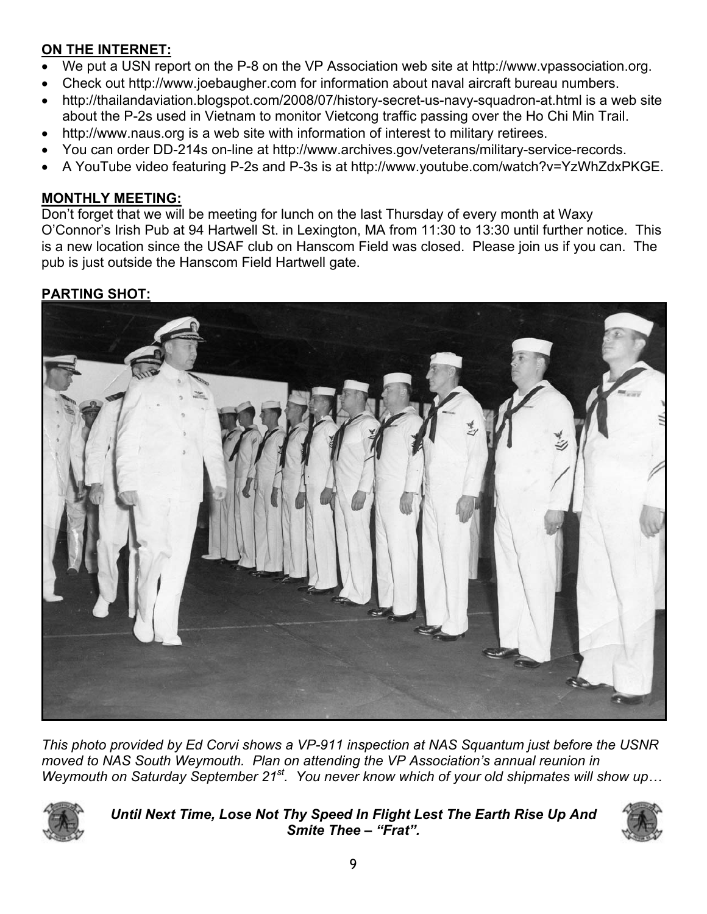# **ON THE INTERNET:**

- We put a USN report on the P-8 on the VP Association web site at http://www.vpassociation.org.
- Check out http://www.joebaugher.com for information about naval aircraft bureau numbers.
- http://thailandaviation.blogspot.com/2008/07/history-secret-us-navy-squadron-at.html is a web site about the P-2s used in Vietnam to monitor Vietcong traffic passing over the Ho Chi Min Trail.
- http://www.naus.org is a web site with information of interest to military retirees.
- You can order DD-214s on-line at http://www.archives.gov/veterans/military-service-records.
- A YouTube video featuring P-2s and P-3s is at http://www.youtube.com/watch?v=YzWhZdxPKGE.

# **MONTHLY MEETING:**

Don't forget that we will be meeting for lunch on the last Thursday of every month at Waxy O'Connor's Irish Pub at 94 Hartwell St. in Lexington, MA from 11:30 to 13:30 until further notice. This is a new location since the USAF club on Hanscom Field was closed. Please join us if you can. The pub is just outside the Hanscom Field Hartwell gate.

# **PARTING SHOT:**



*This photo provided by Ed Corvi shows a VP-911 inspection at NAS Squantum just before the USNR moved to NAS South Weymouth. Plan on attending the VP Association's annual reunion in Weymouth on Saturday September 21st. You never know which of your old shipmates will show up…* 



*Until Next Time, Lose Not Thy Speed In Flight Lest The Earth Rise Up And Smite Thee – "Frat".*